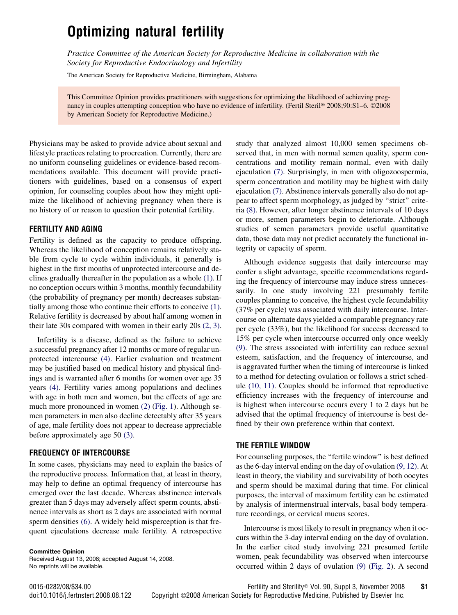# Optimizing natural fertility

Practice Committee of the American Society for Reproductive Medicine in collaboration with the Society for Reproductive Endocrinology and Infertility

The American Society for Reproductive Medicine, Birmingham, Alabama

This Committee Opinion provides practitioners with suggestions for optimizing the likelihood of achieving pregnancy in couples attempting conception who have no evidence of infertility. (Fertil Steril® 2008;90:S1–6. ©2008 by American Society for Reproductive Medicine.)

Physicians may be asked to provide advice about sexual and lifestyle practices relating to procreation. Currently, there are no uniform counseling guidelines or evidence-based recommendations available. This document will provide practitioners with guidelines, based on a consensus of expert opinion, for counseling couples about how they might optimize the likelihood of achieving pregnancy when there is no history of or reason to question their potential fertility.

#### FERTILITY AND AGING

Fertility is defined as the capacity to produce offspring. Whereas the likelihood of conception remains relatively stable from cycle to cycle within individuals, it generally is highest in the first months of unprotected intercourse and declines gradually thereafter in the population as a whole [\(1\).](#page-4-0) If no conception occurs within 3 months, monthly fecundability (the probability of pregnancy per month) decreases substantially among those who continue their efforts to conceive [\(1\)](#page-4-0). Relative fertility is decreased by about half among women in their late 30s compared with women in their early 20s [\(2, 3\)](#page-4-0).

Infertility is a disease, defined as the failure to achieve a successful pregnancy after 12 months or more of regular unprotected intercourse [\(4\).](#page-4-0) Earlier evaluation and treatment may be justified based on medical history and physical findings and is warranted after 6 months for women over age 35 years [\(4\).](#page-4-0) Fertility varies among populations and declines with age in both men and women, but the effects of age are much more pronounced in women [\(2\)](#page-4-0) [\(Fig. 1](#page-1-0)). Although semen parameters in men also decline detectably after 35 years of age, male fertility does not appear to decrease appreciable before approximately age 50 [\(3\)](#page-4-0).

#### FREQUENCY OF INTERCOURSE

In some cases, physicians may need to explain the basics of the reproductive process. Information that, at least in theory, may help to define an optimal frequency of intercourse has emerged over the last decade. Whereas abstinence intervals greater than 5 days may adversely affect sperm counts, abstinence intervals as short as 2 days are associated with normal sperm densities [\(6\)](#page-4-0). A widely held misperception is that frequent ejaculations decrease male fertility. A retrospective

Committee Opinion Received August 13, 2008; accepted August 14, 2008. No reprints will be available.

study that analyzed almost 10,000 semen specimens observed that, in men with normal semen quality, sperm concentrations and motility remain normal, even with daily ejaculation [\(7\)](#page-4-0). Surprisingly, in men with oligozoospermia, sperm concentration and motility may be highest with daily ejaculation [\(7\).](#page-4-0) Abstinence intervals generally also do not appear to affect sperm morphology, as judged by ''strict'' criteria [\(8\).](#page-4-0) However, after longer abstinence intervals of 10 days or more, semen parameters begin to deteriorate. Although studies of semen parameters provide useful quantitative data, those data may not predict accurately the functional integrity or capacity of sperm.

Although evidence suggests that daily intercourse may confer a slight advantage, specific recommendations regarding the frequency of intercourse may induce stress unnecessarily. In one study involving 221 presumably fertile couples planning to conceive, the highest cycle fecundability (37% per cycle) was associated with daily intercourse. Intercourse on alternate days yielded a comparable pregnancy rate per cycle (33%), but the likelihood for success decreased to 15% per cycle when intercourse occurred only once weekly [\(9\).](#page-4-0) The stress associated with infertility can reduce sexual esteem, satisfaction, and the frequency of intercourse, and is aggravated further when the timing of intercourse is linked to a method for detecting ovulation or follows a strict schedule [\(10, 11\)](#page-4-0). Couples should be informed that reproductive efficiency increases with the frequency of intercourse and is highest when intercourse occurs every 1 to 2 days but be advised that the optimal frequency of intercourse is best defined by their own preference within that context.

#### THE FERTILE WINDOW

For counseling purposes, the "fertile window" is best defined as the 6-day interval ending on the day of ovulation [\(9, 12\).](#page-4-0) At least in theory, the viability and survivability of both oocytes and sperm should be maximal during that time. For clinical purposes, the interval of maximum fertility can be estimated by analysis of intermenstrual intervals, basal body temperature recordings, or cervical mucus scores.

Intercourse is most likely to result in pregnancy when it occurs within the 3-day interval ending on the day of ovulation. In the earlier cited study involving 221 presumed fertile women, peak fecundability was observed when intercourse occurred within 2 days of ovulation [\(9\)](#page-4-0) [\(Fig. 2\)](#page-1-0). A second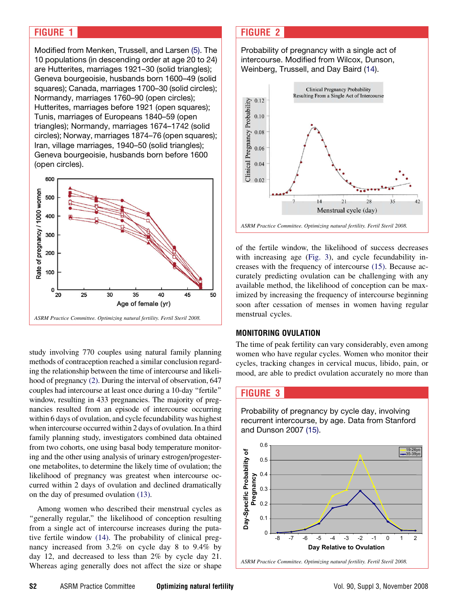# <span id="page-1-0"></span>FIGURE 1

Modified from Menken, Trussell, and Larsen [\(5\)](#page-4-0). The 10 populations (in descending order at age 20 to 24) are Hutterites, marriages 1921–30 (solid triangles); Geneva bourgeoisie, husbands born 1600–49 (solid squares); Canada, marriages 1700–30 (solid circles); Normandy, marriages 1760–90 (open circles); Hutterites, marriages before 1921 (open squares); Tunis, marriages of Europeans 1840–59 (open triangles); Normandy, marriages 1674–1742 (solid circles); Norway, marriages 1874–76 (open squares); Iran, village marriages, 1940–50 (solid triangles); Geneva bourgeoisie, husbands born before 1600 (open circles).



study involving 770 couples using natural family planning methods of contraception reached a similar conclusion regarding the relationship between the time of intercourse and likelihood of pregnancy [\(2\)](#page-4-0). During the interval of observation, 647 couples had intercourse at least once during a 10-day ''fertile'' window, resulting in 433 pregnancies. The majority of pregnancies resulted from an episode of intercourse occurring within 6 days of ovulation, and cycle fecundability was highest when intercourse occurred within 2 days of ovulation. In a third family planning study, investigators combined data obtained from two cohorts, one using basal body temperature monitoring and the other using analysis of urinary estrogen/progesterone metabolites, to determine the likely time of ovulation; the likelihood of pregnancy was greatest when intercourse occurred within 2 days of ovulation and declined dramatically on the day of presumed ovulation [\(13\).](#page-4-0)

Among women who described their menstrual cycles as ''generally regular,'' the likelihood of conception resulting from a single act of intercourse increases during the putative fertile window [\(14\).](#page-4-0) The probability of clinical pregnancy increased from 3.2% on cycle day 8 to 9.4% by day 12, and decreased to less than 2% by cycle day 21. Whereas aging generally does not affect the size or shape

## FIGURE 2

Probability of pregnancy with a single act of intercourse. Modified from Wilcox, Dunson, Weinberg, Trussell, and Day Baird ([14\)](#page-4-0).



of the fertile window, the likelihood of success decreases with increasing age (Fig. 3), and cycle fecundability increases with the frequency of intercourse [\(15\)](#page-4-0). Because accurately predicting ovulation can be challenging with any available method, the likelihood of conception can be maximized by increasing the frequency of intercourse beginning soon after cessation of menses in women having regular menstrual cycles.

### MONITORING OVULATION

The time of peak fertility can vary considerably, even among women who have regular cycles. Women who monitor their cycles, tracking changes in cervical mucus, libido, pain, or mood, are able to predict ovulation accurately no more than

# FIGURE 3

Probability of pregnancy by cycle day, involving recurrent intercourse, by age. Data from Stanford and Dunson 2007 [\(15\)](#page-4-0).

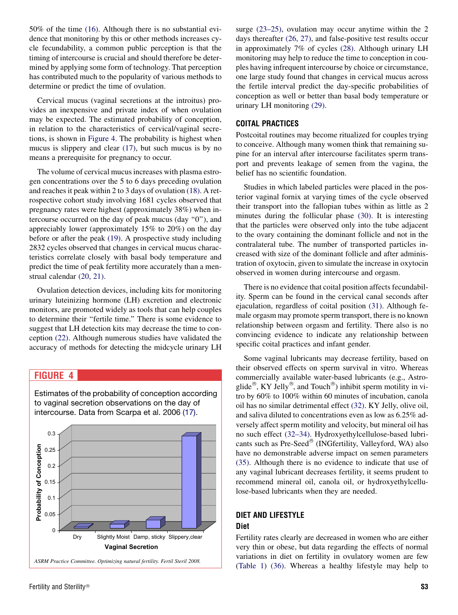50% of the time [\(16\).](#page-4-0) Although there is no substantial evidence that monitoring by this or other methods increases cycle fecundability, a common public perception is that the timing of intercourse is crucial and should therefore be determined by applying some form of technology. That perception has contributed much to the popularity of various methods to determine or predict the time of ovulation.

Cervical mucus (vaginal secretions at the introitus) provides an inexpensive and private index of when ovulation may be expected. The estimated probability of conception, in relation to the characteristics of cervical/vaginal secretions, is shown in Figure 4. The probability is highest when mucus is slippery and clear [\(17\),](#page-4-0) but such mucus is by no means a prerequisite for pregnancy to occur.

The volume of cervical mucus increases with plasma estrogen concentrations over the 5 to 6 days preceding ovulation and reaches it peak within 2 to 3 days of ovulation [\(18\)](#page-4-0). A retrospective cohort study involving 1681 cycles observed that pregnancy rates were highest (approximately 38%) when intercourse occurred on the day of peak mucus (day ''0''), and appreciably lower (approximately 15% to 20%) on the day before or after the peak [\(19\).](#page-4-0) A prospective study including 2832 cycles observed that changes in cervical mucus characteristics correlate closely with basal body temperature and predict the time of peak fertility more accurately than a menstrual calendar [\(20, 21\).](#page-4-0)

Ovulation detection devices, including kits for monitoring urinary luteinizing hormone (LH) excretion and electronic monitors, are promoted widely as tools that can help couples to determine their ''fertile time.'' There is some evidence to suggest that LH detection kits may decrease the time to conception [\(22\)](#page-4-0). Although numerous studies have validated the accuracy of methods for detecting the midcycle urinary LH

Estimates of the probability of conception according

# FIGURE 4



surge [\(23–25\)](#page-5-0), ovulation may occur anytime within the 2 days thereafter [\(26, 27\),](#page-5-0) and false-positive test results occur in approximately 7% of cycles [\(28\).](#page-5-0) Although urinary LH monitoring may help to reduce the time to conception in couples having infrequent intercourse by choice or circumstance, one large study found that changes in cervical mucus across the fertile interval predict the day-specific probabilities of conception as well or better than basal body temperature or urinary LH monitoring [\(29\).](#page-5-0)

## COITAL PRACTICES

Postcoital routines may become ritualized for couples trying to conceive. Although many women think that remaining supine for an interval after intercourse facilitates sperm transport and prevents leakage of semen from the vagina, the belief has no scientific foundation.

Studies in which labeled particles were placed in the posterior vaginal fornix at varying times of the cycle observed their transport into the fallopian tubes within as little as 2 minutes during the follicular phase [\(30\)](#page-5-0). It is interesting that the particles were observed only into the tube adjacent to the ovary containing the dominant follicle and not in the contralateral tube. The number of transported particles increased with size of the dominant follicle and after administration of oxytocin, given to simulate the increase in oxytocin observed in women during intercourse and orgasm.

There is no evidence that coital position affects fecundability. Sperm can be found in the cervical canal seconds after ejaculation, regardless of coital position [\(31\).](#page-5-0) Although female orgasm may promote sperm transport, there is no known relationship between orgasm and fertility. There also is no convincing evidence to indicate any relationship between specific coital practices and infant gender.

Some vaginal lubricants may decrease fertility, based on their observed effects on sperm survival in vitro. Whereas commercially available water-based lubricants (e.g., Astroglide<sup>®</sup>, KY Jelly<sup>®</sup>, and Touch<sup>®</sup>) inhibit sperm motility in vitro by 60% to 100% within 60 minutes of incubation, canola oil has no similar detrimental effect [\(32\).](#page-5-0) KY Jelly, olive oil, and saliva diluted to concentrations even as low as 6.25% adversely affect sperm motility and velocity, but mineral oil has no such effect [\(32–34\).](#page-5-0) Hydroxyethylcellulose-based lubricants such as Pre-Seed<sup>®</sup> (INGfertility, Valleyford, WA) also have no demonstrable adverse impact on semen parameters [\(35\).](#page-5-0) Although there is no evidence to indicate that use of any vaginal lubricant decreases fertility, it seems prudent to recommend mineral oil, canola oil, or hydroxyethylcellulose-based lubricants when they are needed.

# DIET AND LIFESTYLE Diet

Fertility rates clearly are decreased in women who are either very thin or obese, but data regarding the effects of normal variations in diet on fertility in ovulatory women are few [\(Table 1](#page-3-0)) [\(36\)](#page-5-0). Whereas a healthy lifestyle may help to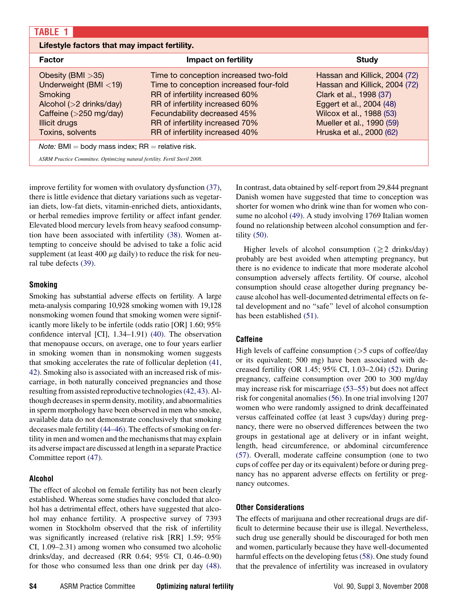<span id="page-3-0"></span>

| <b>TABLE</b>                                                                                                                                            |                                                                                                                                                                                                                                                            |                                                                                                                                                                                                            |
|---------------------------------------------------------------------------------------------------------------------------------------------------------|------------------------------------------------------------------------------------------------------------------------------------------------------------------------------------------------------------------------------------------------------------|------------------------------------------------------------------------------------------------------------------------------------------------------------------------------------------------------------|
| Lifestyle factors that may impact fertility.                                                                                                            |                                                                                                                                                                                                                                                            |                                                                                                                                                                                                            |
| <b>Factor</b>                                                                                                                                           | <b>Impact on fertility</b>                                                                                                                                                                                                                                 | <b>Study</b>                                                                                                                                                                                               |
| Obesity (BMI $>35$ )<br>Underweight (BMI $<$ 19)<br>Smoking<br>Alcohol $(>2$ drinks/day)<br>Caffeine (>250 mg/day)<br>Illicit drugs<br>Toxins, solvents | Time to conception increased two-fold<br>Time to conception increased four-fold<br>RR of infertility increased 60%<br>RR of infertility increased 60%<br>Fecundability decreased 45%<br>RR of infertility increased 70%<br>RR of infertility increased 40% | Hassan and Killick, 2004 (72)<br>Hassan and Killick, 2004 (72)<br>Clark et al., 1998 (37)<br>Eggert et al., 2004 (48)<br>Wilcox et al., 1988 (53)<br>Mueller et al., 1990 (59)<br>Hruska et al., 2000 (62) |
| <i>Note:</i> BMI = body mass index; $RR$ = relative risk.                                                                                               |                                                                                                                                                                                                                                                            |                                                                                                                                                                                                            |
| ASRM Practice Committee. Optimizing natural fertility. Fertil Steril 2008.                                                                              |                                                                                                                                                                                                                                                            |                                                                                                                                                                                                            |

improve fertility for women with ovulatory dysfunction [\(37\)](#page-5-0), there is little evidence that dietary variations such as vegetarian diets, low-fat diets, vitamin-enriched diets, antioxidants, or herbal remedies improve fertility or affect infant gender. Elevated blood mercury levels from heavy seafood consumption have been associated with infertility [\(38\)](#page-5-0). Women attempting to conceive should be advised to take a folic acid supplement (at least 400  $\mu$ g daily) to reduce the risk for neural tube defects [\(39\)](#page-5-0).

## Smoking

Smoking has substantial adverse effects on fertility. A large meta-analysis comparing 10,928 smoking women with 19,128 nonsmoking women found that smoking women were significantly more likely to be infertile (odds ratio [OR] 1.60; 95% confidence interval [CI], 1.34–1.91) [\(40\)](#page-5-0). The observation that menopause occurs, on average, one to four years earlier in smoking women than in nonsmoking women suggests that smoking accelerates the rate of follicular depletion [\(41,](#page-5-0) [42\)](#page-5-0). Smoking also is associated with an increased risk of miscarriage, in both naturally conceived pregnancies and those resulting from assisted reproductive technologies[\(42, 43\).](#page-5-0) Although decreases in sperm density, motility, and abnormalities in sperm morphology have been observed in men who smoke, available data do not demonstrate conclusively that smoking deceases male fertility [\(44–46\).](#page-5-0) The effects of smoking on fertility in men and women and the mechanisms that may explain its adverse impact are discussed at length in a separate Practice Committee report [\(47\).](#page-5-0)

## Alcohol

The effect of alcohol on female fertility has not been clearly established. Whereas some studies have concluded that alcohol has a detrimental effect, others have suggested that alcohol may enhance fertility. A prospective survey of 7393 women in Stockholm observed that the risk of infertility was significantly increased (relative risk [RR] 1.59; 95% CI, 1.09–2.31) among women who consumed two alcoholic drinks/day, and decreased (RR 0.64; 95% CI, 0.46–0.90) for those who consumed less than one drink per day [\(48\)](#page-5-0). In contrast, data obtained by self-report from 29,844 pregnant Danish women have suggested that time to conception was shorter for women who drink wine than for women who consume no alcohol [\(49\).](#page-5-0) A study involving 1769 Italian women found no relationship between alcohol consumption and fertility [\(50\)](#page-5-0).

Higher levels of alcohol consumption ( $\geq 2$  drinks/day) probably are best avoided when attempting pregnancy, but there is no evidence to indicate that more moderate alcohol consumption adversely affects fertility. Of course, alcohol consumption should cease altogether during pregnancy because alcohol has well-documented detrimental effects on fetal development and no ''safe'' level of alcohol consumption has been established [\(51\).](#page-5-0)

## **Caffeine**

High levels of caffeine consumption  $($ >5 cups of coffee/day or its equivalent; 500 mg) have been associated with decreased fertility (OR 1.45; 95% CI, 1.03–2.04) [\(52\)](#page-5-0). During pregnancy, caffeine consumption over 200 to 300 mg/day may increase risk for miscarriage [\(53–55\)](#page-5-0) but does not affect risk for congenital anomalies [\(56\)](#page-5-0). In one trial involving 1207 women who were randomly assigned to drink decaffeinated versus caffeinated coffee (at least 3 cups/day) during pregnancy, there were no observed differences between the two groups in gestational age at delivery or in infant weight, length, head circumference, or abdominal circumference [\(57\).](#page-5-0) Overall, moderate caffeine consumption (one to two cups of coffee per day or its equivalent) before or during pregnancy has no apparent adverse effects on fertility or pregnancy outcomes.

## Other Considerations

The effects of marijuana and other recreational drugs are difficult to determine because their use is illegal. Nevertheless, such drug use generally should be discouraged for both men and women, particularly because they have well-documented harmful effects on the developing fetus [\(58\)](#page-5-0). One study found that the prevalence of infertility was increased in ovulatory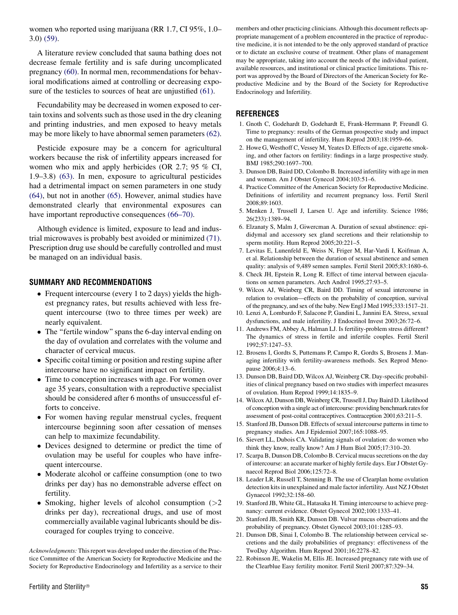<span id="page-4-0"></span>women who reported using marijuana (RR 1.7, CI 95%, 1.0– 3.0) [\(59\)](#page-5-0).

A literature review concluded that sauna bathing does not decrease female fertility and is safe during uncomplicated pregnancy [\(60\)](#page-5-0). In normal men, recommendations for behavioral modifications aimed at controlling or decreasing expo-sure of the testicles to sources of heat are unjustified [\(61\)](#page-5-0).

Fecundability may be decreased in women exposed to certain toxins and solvents such as those used in the dry cleaning and printing industries, and men exposed to heavy metals may be more likely to have abnormal semen parameters [\(62\)](#page-5-0).

Pesticide exposure may be a concern for agricultural workers because the risk of infertility appears increased for women who mix and apply herbicides (OR 2.7; 95 % CI, 1.9–3.8) [\(63\)](#page-5-0). In men, exposure to agricultural pesticides had a detrimental impact on semen parameters in one study [\(64\),](#page-5-0) but not in another [\(65\).](#page-5-0) However, animal studies have demonstrated clearly that environmental exposures can have important reproductive consequences [\(66–70\).](#page-5-0)

Although evidence is limited, exposure to lead and industrial microwaves is probably best avoided or minimized [\(71\)](#page-5-0). Prescription drug use should be carefully controlled and must be managed on an individual basis.

## SUMMARY AND RECOMMENDATIONS

- Frequent intercourse (every 1 to 2 days) yields the highest pregnancy rates, but results achieved with less frequent intercourse (two to three times per week) are nearly equivalent.
- The "fertile window" spans the 6-day interval ending on the day of ovulation and correlates with the volume and character of cervical mucus.
- Specific coital timing or position and resting supine after intercourse have no significant impact on fertility.
- Time to conception increases with age. For women over age 35 years, consultation with a reproductive specialist should be considered after 6 months of unsuccessful efforts to conceive.
- For women having regular menstrual cycles, frequent intercourse beginning soon after cessation of menses can help to maximize fecundability.
- Devices designed to determine or predict the time of ovulation may be useful for couples who have infrequent intercourse.
- Moderate alcohol or caffeine consumption (one to two drinks per day) has no demonstrable adverse effect on fertility.
- Smoking, higher levels of alcohol consumption (>2 drinks per day), recreational drugs, and use of most commercially available vaginal lubricants should be discouraged for couples trying to conceive.

Acknowledgments: This report was developed under the direction of the Practice Committee of the American Society for Reproductive Medicine and the Society for Reproductive Endocrinology and Infertility as a service to their

members and other practicing clinicians. Although this document reflects appropriate management of a problem encountered in the practice of reproductive medicine, it is not intended to be the only approved standard of practice or to dictate an exclusive course of treatment. Other plans of management may be appropriate, taking into account the needs of the individual patient, available resources, and institutional or clinical practice limitations. This report was approved by the Board of Directors of the American Society for Reproductive Medicine and by the Board of the Society for Reproductive Endocrinology and Infertility.

#### REFERENCES

- 1. Gnoth C, Godehardt D, Godehardt E, Frank-Herrmann P, Freundl G. Time to pregnancy: results of the German prospective study and impact on the management of infertility. Hum Reprod 2003;18:1959–66.
- 2. Howe G, Westhoff C, Vessey M, Yeates D. Effects of age, cigarette smoking, and other factors on fertility: findings in a large prospective study. BMJ 1985;290:1697–700.
- 3. Dunson DB, Baird DD, Colombo B. Increased infertility with age in men and women. Am J Obstet Gynecol 2004;103:51–6.
- 4. Practice Committee of the American Society for Reproductive Medicine. Definitions of infertility and recurrent pregnancy loss. Fertil Steril 2008;89:1603.
- 5. Menken J, Trussell J, Larsen U. Age and infertility. Science 1986; 26(233):1389–94.
- 6. Elzanaty S, Malm J, Giwercman A. Duration of sexual abstinence: epididymal and accessory sex gland secretions and their relationship to sperm motility. Hum Reprod 2005;20:221–5.
- 7. Levitas E, Lunenfeld E, Weiss N, Friger M, Har-Vardi I, Koifman A, et al. Relationship between the duration of sexual abstinence and semen quality: analysis of 9,489 semen samples. Fertil Steril 2005;83:1680–6.
- 8. Check JH, Epstein R, Long R. Effect of time interval between ejaculations on semen parameters. Arch Androl 1995;27:93–5.
- 9. Wilcox AJ, Weinberg CR, Baird DD. Timing of sexual intercourse in relation to ovulation—effects on the probability of conception, survival of the pregnancy, and sex of the baby. New Engl J Med 1995;333:1517–21.
- 10. Lenzi A, Lombardo F, Salacone P, Gandini L, Jannini EA. Stress, sexual dysfunctions, and male infertility. J Endocrinol Invest 2003;26:72–6.
- 11. Andrews FM, Abbey A, Halman LJ. Is fertility-problem stress different? The dynamics of stress in fertile and infertile couples. Fertil Steril 1992;57:1247–53.
- 12. Brosens I, Gordts S, Puttemans P, Campo R, Gordts S, Brosens J. Managing infertility with fertility-awareness methods. Sex Reprod Menopause 2006;4:13–6.
- 13. Dunson DB, Baird DD, Wilcox AJ, Weinberg CR. Day-specific probabilities of clinical pregnancy based on two studies with imperfect measures of ovulation. Hum Reprod 1999;14:1835–9.
- 14. Wilcox AJ, Dunson DB, Weinberg CR, Trussell J, Day Baird D. Likelihood of conception with a single act of intercourse: providing benchmark rates for assessment of post-coital contraceptives. Contraception 2001;63:211–5.
- 15. Stanford JB, Dunson DB. Effects of sexual intercourse patterns in time to pregnancy studies. Am J Epidemiol 2007;165:1088–95.
- 16. Sievert LL, Dubois CA. Validating signals of ovulation: do women who think they know, really know? Am J Hum Biol 2005;17:310–20.
- 17. Scarpa B, Dunson DB, Colombo B. Cervical mucus secretions on the day of intercourse: an accurate marker of highly fertile days. Eur J Obstet Gynaecol Reprod Biol 2006;125:72–8.
- 18. Leader LR, Russell T, Stenning B. The use of Clearplan home ovulation detection kits in unexplained and male factor infertility. Aust NZ J Obstet Gynaecol 1992;32:158–60.
- 19. Stanford JB, White GL, Hatasaka H. Timing intercourse to achieve pregnancy: current evidence. Obstet Gynecol 2002;100:1333–41.
- 20. Stanford JB, Smith KR, Dunson DB. Vulvar mucus observations and the probability of pregnancy. Obstet Gynecol 2003;101:1285–93.
- 21. Dunson DB, Sinai I, Colombo B. The relationship between cervical secretions and the daily probabilities of pregnancy: effectiveness of the TwoDay Algorithm. Hum Reprod 2001;16:2278–82.
- 22. Robinson JE, Wakelin M, Ellis JE. Increased pregnancy rate with use of the Clearblue Easy fertility monitor. Fertil Steril 2007;87:329–34.